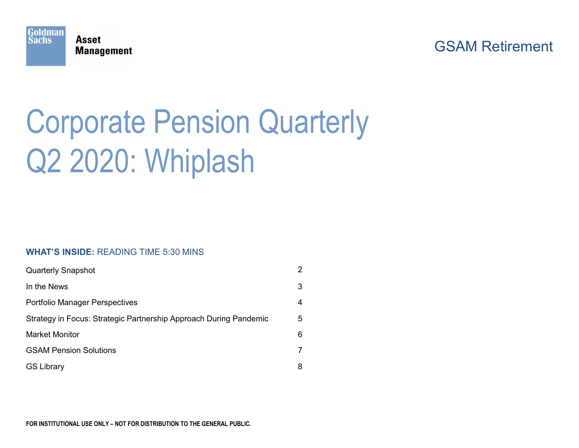

### GSAM Retirement

# Corporate Pension Quarterly Q2 2020: Whiplash

#### **WHAT'S INSIDE:** READING TIME 5:30 MINS

| <b>Quarterly Snapshot</b>                                         | 2 |
|-------------------------------------------------------------------|---|
| In the News                                                       | 3 |
| <b>Portfolio Manager Perspectives</b>                             | 4 |
| Strategy in Focus: Strategic Partnership Approach During Pandemic | 5 |
| <b>Market Monitor</b>                                             | 6 |
| <b>GSAM Pension Solutions</b>                                     | 7 |
| <b>GS Library</b>                                                 | 8 |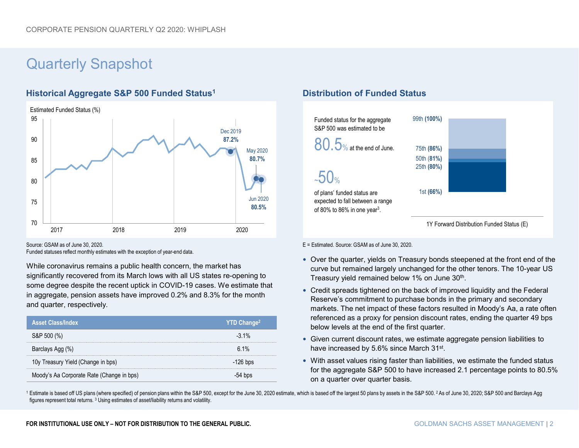## Quarterly Snapshot

### **Historical Aggregate S&P 500 Funded Status1 <b>Distribution of Funded Status**



Source: GSAM as of June 30, 2020.

Funded statuses reflect monthly estimates with the exception of year-end data.

While coronavirus remains a public health concern, the market has significantly recovered from its March lows with all US states re-opening to some degree despite the recent uptick in COVID-19 cases. We estimate that in aggregate, pension assets have improved 0.2% and 8.3% for the month and quarter, respectively.

| <b>Asset Class/Index</b>                  | <b>YTD Change<sup>2</sup></b> |
|-------------------------------------------|-------------------------------|
| S&P 500 (%)                               | $-3.1\%$                      |
| Barclays Agg (%)                          | 61%                           |
| 10y Treasury Yield (Change in bps)        | $-126$ bps                    |
| Moody's Aa Corporate Rate (Change in bps) | 54 bns                        |



E = Estimated. Source: GSAM as of June 30, 2020.

- Over the quarter, yields on Treasury bonds steepened at the front end of the curve but remained largely unchanged for the other tenors. The 10-year US Treasury yield remained below 1% on June 30<sup>th</sup>.
- Credit spreads tightened on the back of improved liquidity and the Federal Reserve's commitment to purchase bonds in the primary and secondary markets. The net impact of these factors resulted in Moody's Aa, a rate often referenced as a proxy for pension discount rates, ending the quarter 49 bps below levels at the end of the first quarter.
- Given current discount rates, we estimate aggregate pension liabilities to have increased by 5.6% since March 31st.
- With asset values rising faster than liabilities, we estimate the funded status for the aggregate S&P 500 to have increased 2.1 percentage points to 80.5% on a quarter over quarter basis.

<sup>1</sup> Estimate is based off US plans (where specified) of pension plans within the S&P 500, except for the June 30, 2020 estimate, which is based off the largest 50 plans by assets in the S&P 500.<sup>2</sup> As of June 30, 2020; S&P figures represent total returns. 3 Using estimates of asset/liability returns and volatility.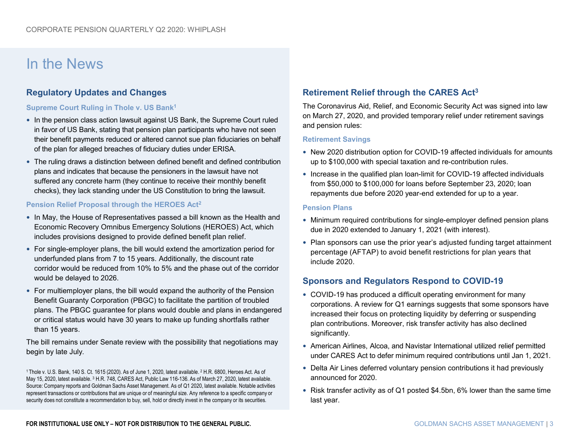### In the News

#### **Regulatory Updates and Changes**

#### **Supreme Court Ruling in Thole v. US Bank1**

- In the pension class action lawsuit against US Bank, the Supreme Court ruled in favor of US Bank, stating that pension plan participants who have not seen their benefit payments reduced or altered cannot sue plan fiduciaries on behalf of the plan for alleged breaches of fiduciary duties under ERISA.
- The ruling draws a distinction between defined benefit and defined contribution plans and indicates that because the pensioners in the lawsuit have not suffered any concrete harm (they continue to receive their monthly benefit checks), they lack standing under the US Constitution to bring the lawsuit.

#### **Pension Relief Proposal through the HEROES Act2**

- In May, the House of Representatives passed a bill known as the Health and Economic Recovery Omnibus Emergency Solutions (HEROES) Act, which includes provisions designed to provide defined benefit plan relief.
- For single-employer plans, the bill would extend the amortization period for underfunded plans from 7 to 15 years. Additionally, the discount rate corridor would be reduced from 10% to 5% and the phase out of the corridor would be delayed to 2026.
- For multiemployer plans, the bill would expand the authority of the Pension Benefit Guaranty Corporation (PBGC) to facilitate the partition of troubled plans. The PBGC guarantee for plans would double and plans in endangered or critical status would have 30 years to make up funding shortfalls rather than 15 years.

The bill remains under Senate review with the possibility that negotiations may begin by late July.

<sup>1</sup> Thole v. U.S. Bank, 140 S. Ct. 1615 (2020). As of June 1, 2020, latest available. <sup>2</sup> H.R. 6800, Heroes Act. As of May 15, 2020, latest available. 3 H.R. 748, CARES Act, Public Law 116-136. As of March 27, 2020, latest available. Source: Company reports and Goldman Sachs Asset Management. As of Q1 2020, latest available. Notable activities represent transactions or contributions that are unique or of meaningful size. Any reference to a specific company or security does not constitute a recommendation to buy, sell, hold or directly invest in the company or its securities.

### **Retirement Relief through the CARES Act3**

The Coronavirus Aid, Relief, and Economic Security Act was signed into law on March 27, 2020, and provided temporary relief under retirement savings and pension rules:

#### **Retirement Savings**

- New 2020 distribution option for COVID-19 affected individuals for amounts up to \$100,000 with special taxation and re-contribution rules.
- Increase in the qualified plan loan-limit for COVID-19 affected individuals from \$50,000 to \$100,000 for loans before September 23, 2020; loan repayments due before 2020 year-end extended for up to a year.

#### **Pension Plans**

- Minimum required contributions for single-employer defined pension plans due in 2020 extended to January 1, 2021 (with interest).
- Plan sponsors can use the prior year's adjusted funding target attainment percentage (AFTAP) to avoid benefit restrictions for plan years that include 2020.

#### **Sponsors and Regulators Respond to COVID-19**

- COVID-19 has produced a difficult operating environment for many corporations. A review for Q1 earnings suggests that some sponsors have increased their focus on protecting liquidity by deferring or suspending plan contributions. Moreover, risk transfer activity has also declined significantly.
- American Airlines, Alcoa, and Navistar International utilized relief permitted under CARES Act to defer minimum required contributions until Jan 1, 2021.
- Delta Air Lines deferred voluntary pension contributions it had previously announced for 2020.
- Risk transfer activity as of Q1 posted \$4.5bn, 6% lower than the same time last year.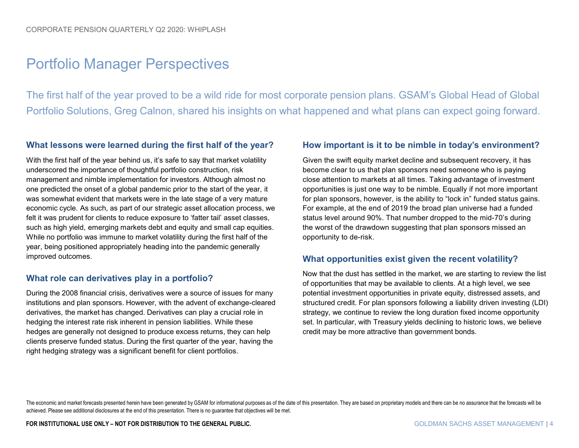### Portfolio Manager Perspectives

The first half of the year proved to be a wild ride for most corporate pension plans. GSAM's Global Head of Global Portfolio Solutions, Greg Calnon, shared his insights on what happened and what plans can expect going forward.

#### **What lessons were learned during the first half of the year?**

With the first half of the year behind us, it's safe to say that market volatility underscored the importance of thoughtful portfolio construction, risk management and nimble implementation for investors. Although almost no one predicted the onset of a global pandemic prior to the start of the year, it was somewhat evident that markets were in the late stage of a very mature economic cycle. As such, as part of our strategic asset allocation process, we felt it was prudent for clients to reduce exposure to 'fatter tail' asset classes, such as high yield, emerging markets debt and equity and small cap equities. While no portfolio was immune to market volatility during the first half of the year, being positioned appropriately heading into the pandemic generally improved outcomes.

#### **What role can derivatives play in a portfolio?**

During the 2008 financial crisis, derivatives were a source of issues for many institutions and plan sponsors. However, with the advent of exchange-cleared derivatives, the market has changed. Derivatives can play a crucial role in hedging the interest rate risk inherent in pension liabilities. While these hedges are generally not designed to produce excess returns, they can help clients preserve funded status. During the first quarter of the year, having the right hedging strategy was a significant benefit for client portfolios.

#### **How important is it to be nimble in today's environment?**

Given the swift equity market decline and subsequent recovery, it has become clear to us that plan sponsors need someone who is paying close attention to markets at all times. Taking advantage of investment opportunities is just one way to be nimble. Equally if not more important for plan sponsors, however, is the ability to "lock in" funded status gains. For example, at the end of 2019 the broad plan universe had a funded status level around 90%. That number dropped to the mid-70's during the worst of the drawdown suggesting that plan sponsors missed an opportunity to de-risk.

#### **What opportunities exist given the recent volatility?**

Now that the dust has settled in the market, we are starting to review the list of opportunities that may be available to clients. At a high level, we see potential investment opportunities in private equity, distressed assets, and structured credit. For plan sponsors following a liability driven investing (LDI) strategy, we continue to review the long duration fixed income opportunity set. In particular, with Treasury yields declining to historic lows, we believe credit may be more attractive than government bonds.

The economic and market forecasts presented herein have been generated by GSAM for informational purposes as of the date of this presentation. They are based on proprietary models and there can be no assurance that the for achieved. Please see additional disclosures at the end of this presentation. There is no guarantee that objectives will be met.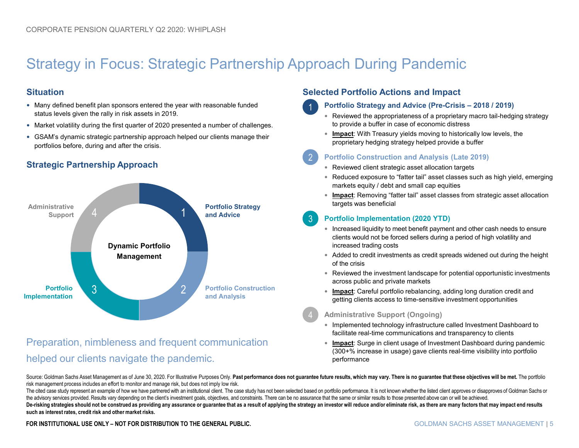## Strategy in Focus: Strategic Partnership Approach During Pandemic

1

2

#### **Situation**

- Many defined benefit plan sponsors entered the year with reasonable funded status levels given the rally in risk assets in 2019.
- Market volatility during the first quarter of 2020 presented a number of challenges.
- GSAM's dynamic strategic partnership approach helped our clients manage their portfolios before, during and after the crisis.

### **Strategic Partnership Approach**



### Preparation, nimbleness and frequent communication helped our clients navigate the pandemic.

#### **Selected Portfolio Actions and Impact**

#### **Portfolio Strategy and Advice (Pre-Crisis – 2018 / 2019)**

- Reviewed the appropriateness of a proprietary macro tail-hedging strategy to provide a buffer in case of economic distress
- **Impact**: With Treasury yields moving to historically low levels, the proprietary hedging strategy helped provide a buffer

#### **Portfolio Construction and Analysis (Late 2019)**

- Reviewed client strategic asset allocation targets
- Reduced exposure to "fatter tail" asset classes such as high yield, emerging markets equity / debt and small cap equities
- **Impact**: Removing "fatter tail" asset classes from strategic asset allocation targets was beneficial

#### **Portfolio Implementation (2020 YTD)** 3

- Increased liquidity to meet benefit payment and other cash needs to ensure clients would not be forced sellers during a period of high volatility and increased trading costs
- Added to credit investments as credit spreads widened out during the height of the crisis
- Reviewed the investment landscape for potential opportunistic investments across public and private markets
- **Impact**: Careful portfolio rebalancing, adding long duration credit and getting clients access to time-sensitive investment opportunities

#### **Administrative Support (Ongoing)**

- Implemented technology infrastructure called Investment Dashboard to facilitate real-time communications and transparency to clients
- **Impact**: Surge in client usage of Investment Dashboard during pandemic (300+% increase in usage) gave clients real-time visibility into portfolio performance

Source: Goldman Sachs Asset Management as of June 30, 2020. For Illustrative Purposes Only. Past performance does not guarantee future results, which may vary. There is no guarantee that these objectives will be met. The p risk management process includes an effort to monitor and manage risk, but does not imply low risk.

The cited case study represent an example of how we have partnered with an institutional client. The case study has not been selected based on portfolio performance. It is not known whether the listed client approves or di the advisory services provided. Results vary depending on the client's investment goals, objectives, and constraints. There can be no assurance that the same or similar results to those presented above can or will be achie De-risking strategies should not be construed as providing any assurance or guarantee that as a result of applying the strategy an investor will reduce and/or eliminate risk, as there are many factors that may impact end r **such as interest rates, credit risk and other market risks.**

FOR INSTITUTIONAL USE ONLY – NOT FOR DISTRIBUTION TO THE GENERAL PUBLIC. **The computation of the service of the s** and the service of the service of the service of the service of the service of the service of the service o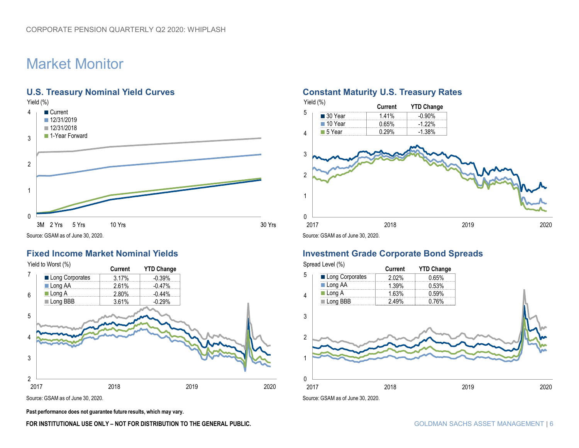## Market Monitor



Source: GSAM as of June 30, 2020.



Source: GSAM as of June 30, 2020.

**Past performance does not guarantee future results, which may vary.** 

#### FOR INSTITUTIONAL USE ONLY – NOT FOR DISTRIBUTION TO THE GENERAL PUBLIC. **The computation of the serveral public**

#### **U.S. Treasury Nominal Yield Curves <b>Constant Maturity U.S. Treasury Rates**

| Yield (%)      | Current | <b>YTD Change</b> |  |
|----------------|---------|-------------------|--|
| 5<br>■ 30 Year | 1.41%   | $-0.90%$          |  |
| 10 Year        | 0.65%   | $-1.22%$          |  |
| 5 Year<br>4    | 0.29%   | $-1.38%$          |  |
| 3              |         |                   |  |
| $\overline{2}$ |         |                   |  |
| 1<br>0         |         |                   |  |

#### **Fixed Income Market Nominal Yields Investment Grade Corporate Bond Spreads**

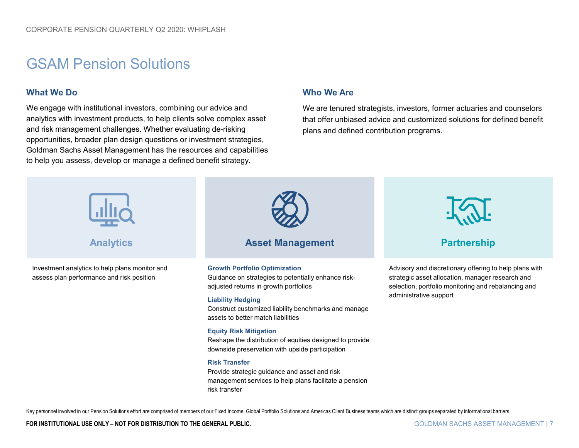### GSAM Pension Solutions

#### **What We Do**

We engage with institutional investors, combining our advice and analytics with investment products, to help clients solve complex asset and risk management challenges. Whether evaluating de-risking opportunities, broader plan design questions or investment strategies, Goldman Sachs Asset Management has the resources and capabilities to help you assess, develop or manage a defined benefit strategy.

#### **Who We Are**

We are tenured strategists, investors, former actuaries and counselors that offer unbiased advice and customized solutions for defined benefit plans and defined contribution programs.



Key personnel involved in our Pension Solutions effort are comprised of members of our Fixed Income, Global Portfolio Solutions and Americas Client Business teams which are distinct groups separated by informational barrie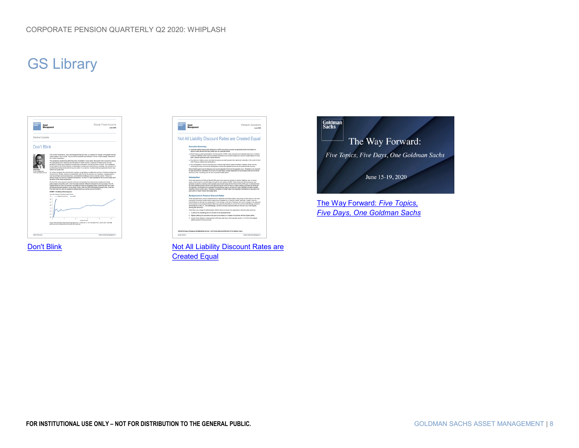## GS Library







[Don't Blink](https://www.gsam.com/content/gsam/us/en/institutions/market-insights/gsam-connect/2020/Dont_Blink.html) [Not All Liability Discount Rates are](https://www.gsam.com/content/gsam/us/en/institutions/market-insights/gsam-insights/pension-solutions/2020/Not_All_Liabilities_Discount_Rates_are_Created_Equal.html) **Created Equal** 



The Way Forward: *Five Topics, [Five Days, One Goldman Sachs](https://www.goldmansachs.com/insights/pages/one-gs-conference-2020/index.html)*